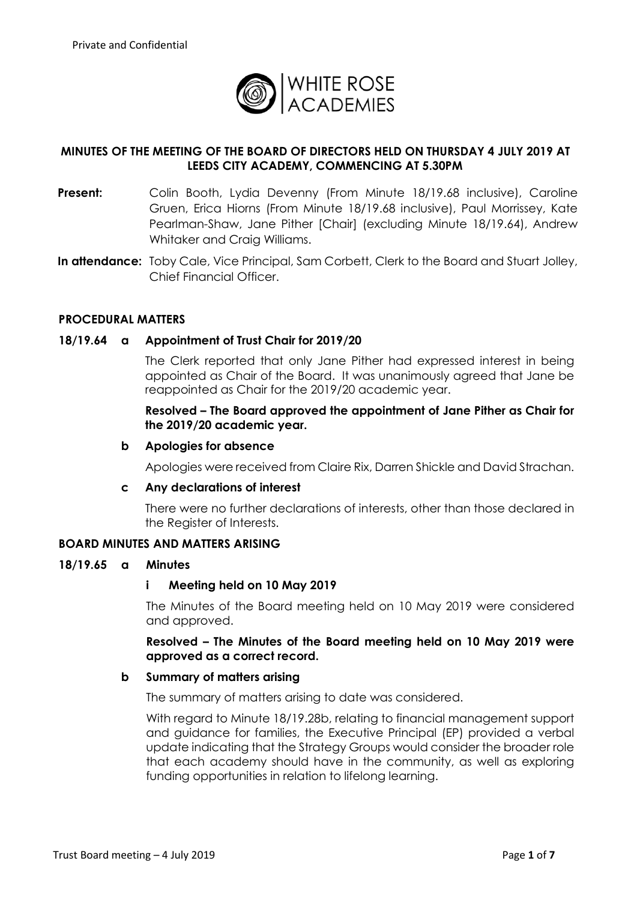

# **MINUTES OF THE MEETING OF THE BOARD OF DIRECTORS HELD ON THURSDAY 4 JULY 2019 AT LEEDS CITY ACADEMY, COMMENCING AT 5.30PM**

- **Present:** Colin Booth, Lydia Devenny (From Minute 18/19.68 inclusive), Caroline Gruen, Erica Hiorns (From Minute 18/19.68 inclusive), Paul Morrissey, Kate Pearlman-Shaw, Jane Pither [Chair] (excluding Minute 18/19.64), Andrew Whitaker and Craig Williams.
- **In attendance:** Toby Cale, Vice Principal, Sam Corbett, Clerk to the Board and Stuart Jolley, Chief Financial Officer.

## **PROCEDURAL MATTERS**

#### **18/19.64 a Appointment of Trust Chair for 2019/20**

The Clerk reported that only Jane Pither had expressed interest in being appointed as Chair of the Board. It was unanimously agreed that Jane be reappointed as Chair for the 2019/20 academic year.

## **Resolved – The Board approved the appointment of Jane Pither as Chair for the 2019/20 academic year.**

#### **b Apologies for absence**

Apologies were received from Claire Rix, Darren Shickle and David Strachan.

#### **c Any declarations of interest**

There were no further declarations of interests, other than those declared in the Register of Interests.

## **BOARD MINUTES AND MATTERS ARISING**

#### **18/19.65 a Minutes**

#### **i Meeting held on 10 May 2019**

The Minutes of the Board meeting held on 10 May 2019 were considered and approved.

**Resolved – The Minutes of the Board meeting held on 10 May 2019 were approved as a correct record.**

#### **b Summary of matters arising**

The summary of matters arising to date was considered.

With regard to Minute 18/19.28b, relating to financial management support and guidance for families, the Executive Principal (EP) provided a verbal update indicating that the Strategy Groups would consider the broader role that each academy should have in the community, as well as exploring funding opportunities in relation to lifelong learning.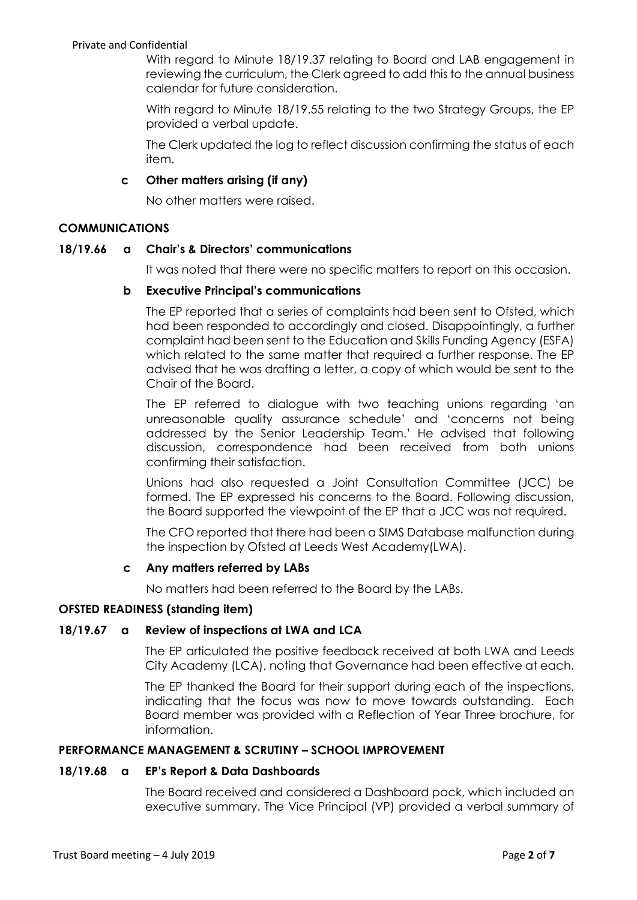With regard to Minute 18/19.37 relating to Board and LAB engagement in reviewing the curriculum, the Clerk agreed to add this to the annual business calendar for future consideration.

With regard to Minute 18/19.55 relating to the two Strategy Groups, the EP provided a verbal update.

The Clerk updated the log to reflect discussion confirming the status of each item.

# **c Other matters arising (if any)**

No other matters were raised.

## **COMMUNICATIONS**

## **18/19.66 a Chair's & Directors' communications**

It was noted that there were no specific matters to report on this occasion.

## **b Executive Principal's communications**

The EP reported that a series of complaints had been sent to Ofsted, which had been responded to accordingly and closed. Disappointingly, a further complaint had been sent to the Education and Skills Funding Agency (ESFA) which related to the same matter that required a further response. The EP advised that he was drafting a letter, a copy of which would be sent to the Chair of the Board.

The EP referred to dialogue with two teaching unions regarding 'an unreasonable quality assurance schedule' and 'concerns not being addressed by the Senior Leadership Team.' He advised that following discussion, correspondence had been received from both unions confirming their satisfaction.

Unions had also requested a Joint Consultation Committee (JCC) be formed. The EP expressed his concerns to the Board. Following discussion, the Board supported the viewpoint of the EP that a JCC was not required.

The CFO reported that there had been a SIMS Database malfunction during the inspection by Ofsted at Leeds West Academy(LWA).

## **c Any matters referred by LABs**

No matters had been referred to the Board by the LABs.

## **OFSTED READINESS (standing item)**

## **18/19.67 a Review of inspections at LWA and LCA**

The EP articulated the positive feedback received at both LWA and Leeds City Academy (LCA), noting that Governance had been effective at each.

The EP thanked the Board for their support during each of the inspections, indicating that the focus was now to move towards outstanding. Each Board member was provided with a Reflection of Year Three brochure, for information.

## **PERFORMANCE MANAGEMENT & SCRUTINY – SCHOOL IMPROVEMENT**

## **18/19.68 a EP's Report & Data Dashboards**

The Board received and considered a Dashboard pack, which included an executive summary. The Vice Principal (VP) provided a verbal summary of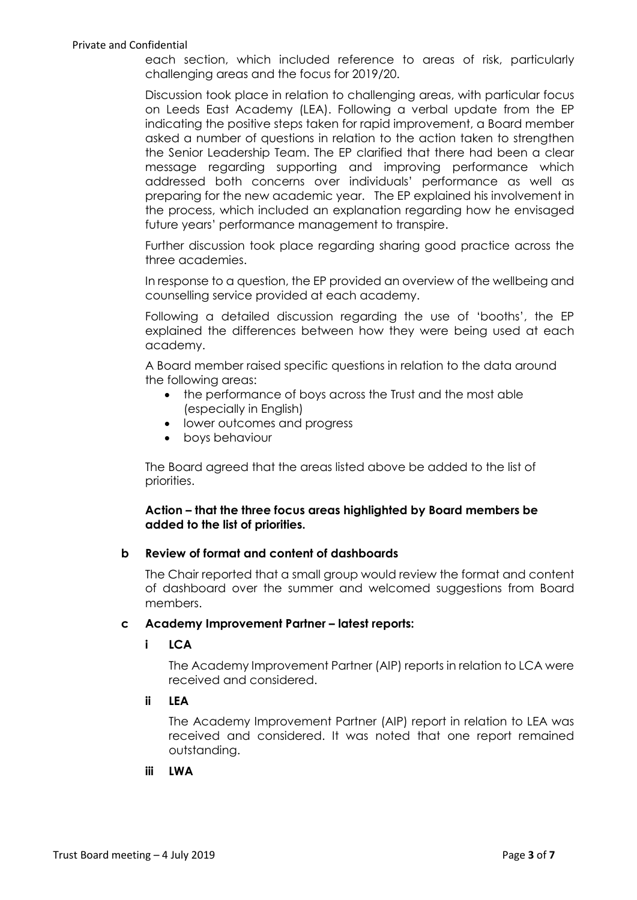each section, which included reference to areas of risk, particularly challenging areas and the focus for 2019/20.

Discussion took place in relation to challenging areas, with particular focus on Leeds East Academy (LEA). Following a verbal update from the EP indicating the positive steps taken for rapid improvement, a Board member asked a number of questions in relation to the action taken to strengthen the Senior Leadership Team. The EP clarified that there had been a clear message regarding supporting and improving performance which addressed both concerns over individuals' performance as well as preparing for the new academic year. The EP explained his involvement in the process, which included an explanation regarding how he envisaged future years' performance management to transpire.

Further discussion took place regarding sharing good practice across the three academies.

In response to a question, the EP provided an overview of the wellbeing and counselling service provided at each academy.

Following a detailed discussion regarding the use of 'booths', the EP explained the differences between how they were being used at each academy.

A Board member raised specific questions in relation to the data around the following areas:

- the performance of boys across the Trust and the most able (especially in English)
- lower outcomes and progress
- boys behaviour

The Board agreed that the areas listed above be added to the list of priorities.

# **Action – that the three focus areas highlighted by Board members be added to the list of priorities.**

## **b Review of format and content of dashboards**

The Chair reported that a small group would review the format and content of dashboard over the summer and welcomed suggestions from Board members.

#### **c Academy Improvement Partner – latest reports:**

## **i LCA**

The Academy Improvement Partner (AIP) reports in relation to LCA were received and considered.

# **ii LEA**

The Academy Improvement Partner (AIP) report in relation to LEA was received and considered. It was noted that one report remained outstanding.

#### **iii LWA**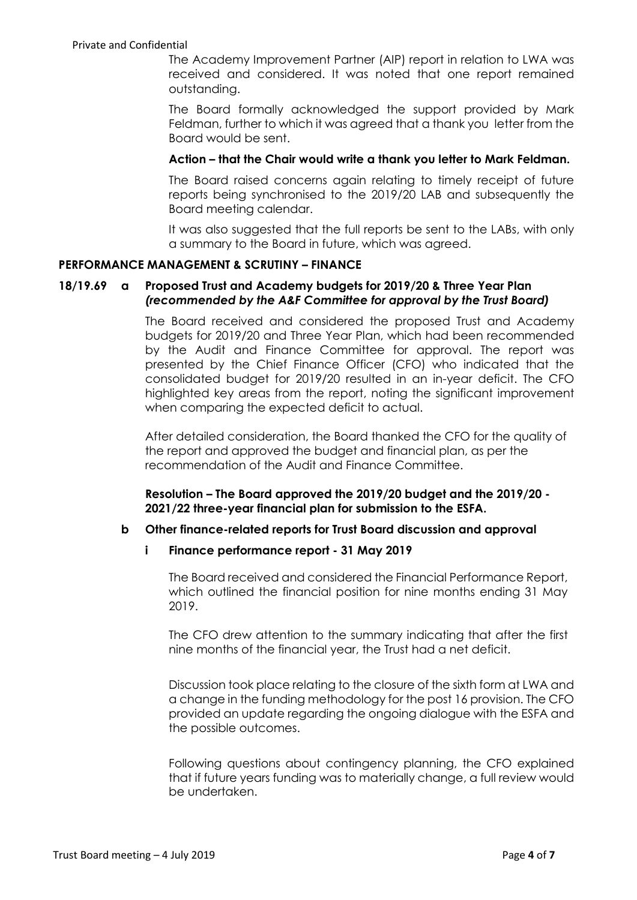The Academy Improvement Partner (AIP) report in relation to LWA was received and considered. It was noted that one report remained outstanding.

The Board formally acknowledged the support provided by Mark Feldman, further to which it was agreed that a thank you letter from the Board would be sent.

#### **Action – that the Chair would write a thank you letter to Mark Feldman.**

The Board raised concerns again relating to timely receipt of future reports being synchronised to the 2019/20 LAB and subsequently the Board meeting calendar.

It was also suggested that the full reports be sent to the LABs, with only a summary to the Board in future, which was agreed.

#### **PERFORMANCE MANAGEMENT & SCRUTINY – FINANCE**

## **18/19.69 a Proposed Trust and Academy budgets for 2019/20 & Three Year Plan**  *(recommended by the A&F Committee for approval by the Trust Board)*

The Board received and considered the proposed Trust and Academy budgets for 2019/20 and Three Year Plan, which had been recommended by the Audit and Finance Committee for approval. The report was presented by the Chief Finance Officer (CFO) who indicated that the consolidated budget for 2019/20 resulted in an in-year deficit. The CFO highlighted key areas from the report, noting the significant improvement when comparing the expected deficit to actual.

After detailed consideration, the Board thanked the CFO for the quality of the report and approved the budget and financial plan, as per the recommendation of the Audit and Finance Committee.

**Resolution – The Board approved the 2019/20 budget and the 2019/20 - 2021/22 three-year financial plan for submission to the ESFA.**

## **b Other finance-related reports for Trust Board discussion and approval**

# **i Finance performance report - 31 May 2019**

The Board received and considered the Financial Performance Report, which outlined the financial position for nine months ending 31 May 2019.

The CFO drew attention to the summary indicating that after the first nine months of the financial year, the Trust had a net deficit.

Discussion took place relating to the closure of the sixth form at LWA and a change in the funding methodology for the post 16 provision. The CFO provided an update regarding the ongoing dialogue with the ESFA and the possible outcomes.

Following questions about contingency planning, the CFO explained that if future years funding was to materially change, a full review would be undertaken.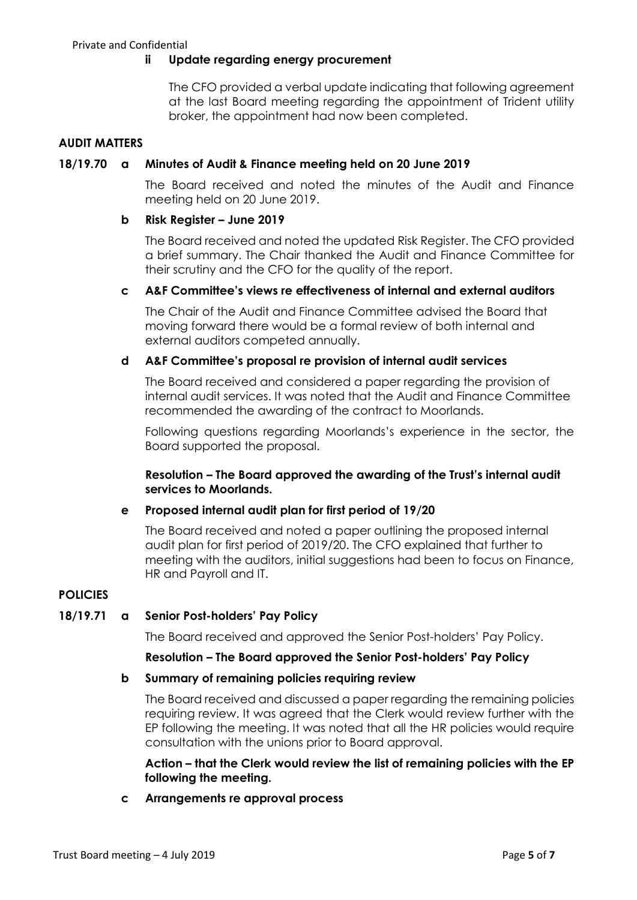## **ii Update regarding energy procurement**

The CFO provided a verbal update indicating that following agreement at the last Board meeting regarding the appointment of Trident utility broker, the appointment had now been completed.

# **AUDIT MATTERS**

#### **18/19.70 a Minutes of Audit & Finance meeting held on 20 June 2019**

The Board received and noted the minutes of the Audit and Finance meeting held on 20 June 2019.

#### **b Risk Register – June 2019**

The Board received and noted the updated Risk Register. The CFO provided a brief summary. The Chair thanked the Audit and Finance Committee for their scrutiny and the CFO for the quality of the report.

## **c A&F Committee's views re effectiveness of internal and external auditors**

The Chair of the Audit and Finance Committee advised the Board that moving forward there would be a formal review of both internal and external auditors competed annually.

## **d A&F Committee's proposal re provision of internal audit services**

The Board received and considered a paper regarding the provision of internal audit services. It was noted that the Audit and Finance Committee recommended the awarding of the contract to Moorlands.

Following questions regarding Moorlands's experience in the sector, the Board supported the proposal.

## **Resolution – The Board approved the awarding of the Trust's internal audit services to Moorlands.**

## **e Proposed internal audit plan for first period of 19/20**

The Board received and noted a paper outlining the proposed internal audit plan for first period of 2019/20. The CFO explained that further to meeting with the auditors, initial suggestions had been to focus on Finance, HR and Payroll and IT.

## **POLICIES**

## **18/19.71 a Senior Post-holders' Pay Policy**

The Board received and approved the Senior Post-holders' Pay Policy.

## **Resolution – The Board approved the Senior Post-holders' Pay Policy**

## **b Summary of remaining policies requiring review**

The Board received and discussed a paper regarding the remaining policies requiring review. It was agreed that the Clerk would review further with the EP following the meeting. It was noted that all the HR policies would require consultation with the unions prior to Board approval.

## **Action – that the Clerk would review the list of remaining policies with the EP following the meeting.**

**c Arrangements re approval process**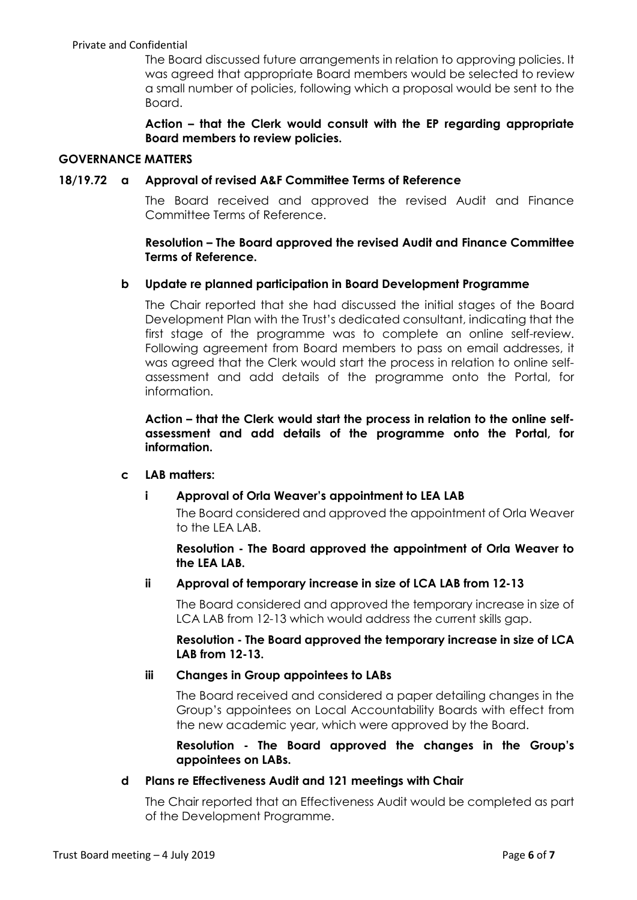The Board discussed future arrangements in relation to approving policies. It was agreed that appropriate Board members would be selected to review a small number of policies, following which a proposal would be sent to the Board.

**Action – that the Clerk would consult with the EP regarding appropriate Board members to review policies.**

## **GOVERNANCE MATTERS**

#### **18/19.72 a Approval of revised A&F Committee Terms of Reference**

The Board received and approved the revised Audit and Finance Committee Terms of Reference.

# **Resolution – The Board approved the revised Audit and Finance Committee Terms of Reference.**

## **b Update re planned participation in Board Development Programme**

The Chair reported that she had discussed the initial stages of the Board Development Plan with the Trust's dedicated consultant, indicating that the first stage of the programme was to complete an online self-review. Following agreement from Board members to pass on email addresses, it was agreed that the Clerk would start the process in relation to online selfassessment and add details of the programme onto the Portal, for information.

**Action – that the Clerk would start the process in relation to the online selfassessment and add details of the programme onto the Portal, for information.** 

## **c LAB matters:**

## **i Approval of Orla Weaver's appointment to LEA LAB**

The Board considered and approved the appointment of Orla Weaver to the LEA LAB.

## **Resolution - The Board approved the appointment of Orla Weaver to the LEA LAB.**

## **ii Approval of temporary increase in size of LCA LAB from 12-13**

The Board considered and approved the temporary increase in size of LCA LAB from 12-13 which would address the current skills gap.

**Resolution - The Board approved the temporary increase in size of LCA LAB from 12-13.**

## **iii Changes in Group appointees to LABs**

The Board received and considered a paper detailing changes in the Group's appointees on Local Accountability Boards with effect from the new academic year, which were approved by the Board.

**Resolution - The Board approved the changes in the Group's appointees on LABs.**

## **d Plans re Effectiveness Audit and 121 meetings with Chair**

The Chair reported that an Effectiveness Audit would be completed as part of the Development Programme.